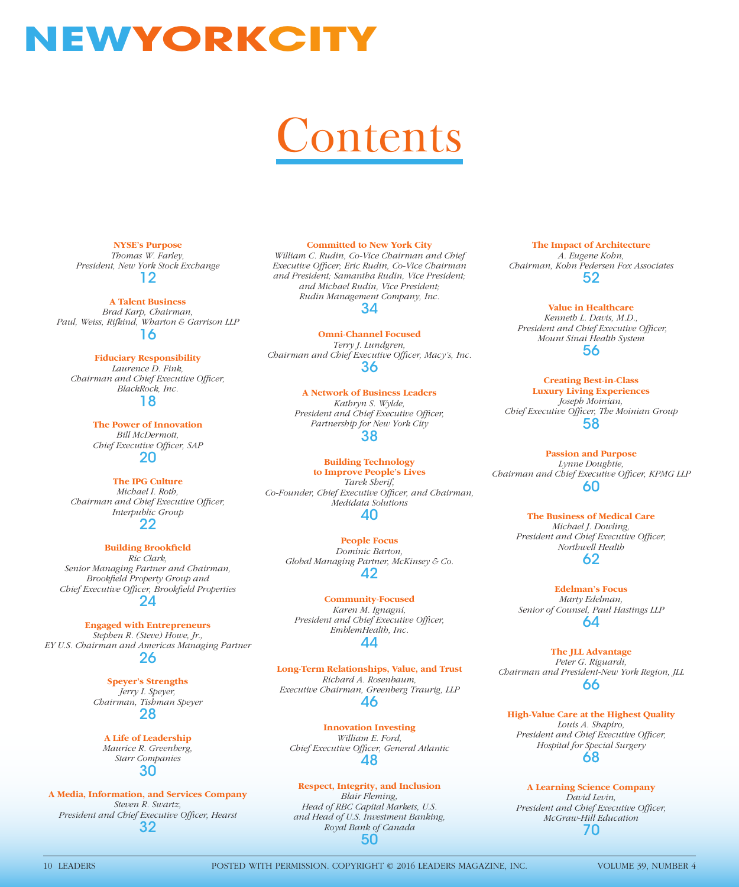# **NEWYORKCITY**

# ontents

**NYSE's Purpose** *Thomas W. Farley, President, New York Stock Exchange* 12

**A Talent Business**

*Brad Karp, Chairman, Paul, Weiss, Rifkind, Wharton & Garrison LLP* 16

**Fiduciary Responsibility** *Laurence D. Fink, Chairman and Chief Executive Officer, BlackRock, Inc.* 18

> **The Power of Innovation** *Bill McDermott,*

**Chief Executive Officer, SAP** 20

**The IPG Culture** *Michael I. Roth, Chairman and Chief Executive Officer, Interpublic Group*

22

#### **Building Brookfield**

*Ric Clark, Senior Managing Partner and Chairman, Brookfi eld Property Group and Chief Executive Offi cer, Brookfi eld Properties* 24

## **Engaged with Entrepreneurs**

*Stephen R. (Steve) Howe, Jr., EY U.S. Chairman and Americas Managing Partner* 26

**Speyer's Strengths**

*Jerry I. Speyer, Chairman, Tishman Speyer* 28

**A Life of Leadership** *Maurice R. Greenberg, Starr Companies* 30

**A Media, Information, and Services Company** *Steven R. Swartz,*  **President and Chief Executive Officer, Hearst** 32

#### **Committed to New York City**

*William C. Rudin, Co-Vice Chairman and Chief*  **Executive Officer; Eric Rudin, Co-Vice Chairman** *and President; Samantha Rudin, Vice President; and Michael Rudin, Vice President; Rudin Management Company, Inc.* 34

**Omni-Channel Focused** *Terry J. Lundgren,*  Chairman and Chief Executive Officer, Macy's, Inc. 36

> **A Network of Business Leaders** *Kathryn S. Wylde,*  **President and Chief Executive Officer,** *Partnership for New York City* 38

**Building Technology to Improve People's Lives** *Tarek Sherif, Co-Founder, Chief Executive Officer, and Chairman, Medidata Solutions*

### 40

**People Focus** *Dominic Barton, Global Managing Partner, McKinsey & Co.* 42

**Community-Focused** *Karen M. Ignagni, President and Chief Executive Officer, EmblemHealth, Inc.* 44

**Long-Term Relationships, Value, and Trust** *Richard A. Rosenbaum, Executive Chairman, Greenberg Traurig, LLP* 46

**Innovation Investing** *William E. Ford,*  **Chief Executive Officer, General Atlantic** 48

#### **Respect, Integrity, and Inclusion**

*Blair Fleming, Head of RBC Capital Markets, U.S. and Head of U.S. Investment Banking, Royal Bank of Canada* 50

**The Impact of Architecture** *A. Eugene Kohn, Chairman, Kohn Pedersen Fox Associates* 52

**Value in Healthcare** *Kenneth L. Davis, M.D.,* **President and Chief Executive Officer,** *Mount Sinai Health System* 56

**Creating Best-in-Class Luxury Living Experiences** *Joseph Moinian, Chief Executive Officer, The Moinian Group* 58

**Passion and Purpose** *Lynne Doughtie, Chairman and Chief Executive Offi cer, KPMG LLP* 60

> **The Business of Medical Care** *Michael J. Dowling, President and Chief Executive Officer, Northwell Health* 62

**Edelman's Focus** *Marty Edelman, Senior of Counsel, Paul Hastings LLP* 64

**The JLL Advantage** *Peter G. Riguardi, Chairman and President-New York Region, JLL* 66

**High-Value Care at the Highest Quality** *Louis A. Shapiro, President and Chief Executive Officer, Hospital for Special Surgery* 68

**A Learning Science Company**

*David Levin, President and Chief Executive Officer, McGraw-Hill Education* 70